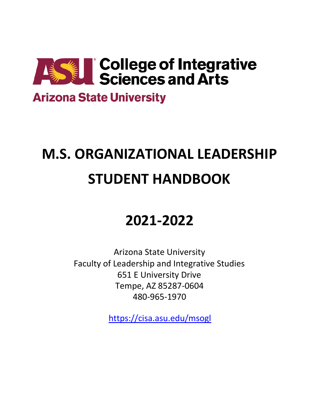

### **Arizona State University**

# **M.S. ORGANIZATIONAL LEADERSHIP STUDENT HANDBOOK**

## **2021-2022**

Arizona State University Faculty of Leadership and Integrative Studies 651 E University Drive Tempe, AZ 85287-0604 480-965-1970

[https://cisa.asu.edu/msogl](https://cisa.asu.edu/ogladmissions)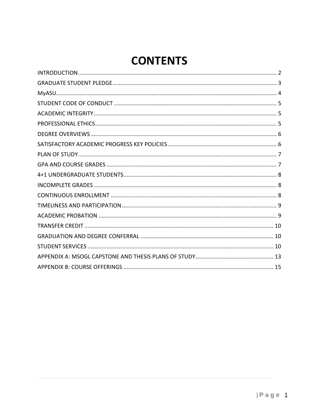### **CONTENTS**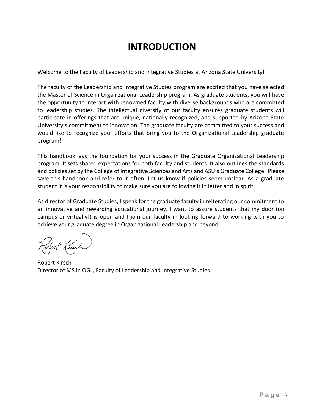### **INTRODUCTION**

<span id="page-2-0"></span>Welcome to the Faculty of Leadership and Integrative Studies at Arizona State University!

The faculty of the Leadership and Integrative Studies program are excited that you have selected the Master of Science in Organizational Leadership program. As graduate students, you will have the opportunity to interact with renowned faculty with diverse backgrounds who are committed to leadership studies. The intellectual diversity of our faculty ensures graduate students will participate in offerings that are unique, nationally recognized, and supported by Arizona State University's commitment to innovation. The graduate faculty are committed to your success and would like to recognize your efforts that bring you to the Organizational Leadership graduate program!

This handbook lays the foundation for your success in the Graduate Organizational Leadership program. It sets shared expectations for both faculty and students. It also outlines the standards and policies set by the College of Integrative Sciences and Arts and ASU's [Graduate College](https://graduate.asu.edu/) . Please save this handbook and refer to it often. Let us know if policies seem unclear. As a graduate student it is your responsibility to make sure you are following it in letter and in spirit.

As director of Graduate Studies, I speak for the graduate faculty in reiterating our commitment to an innovative and rewarding educational journey. I want to assure students that my door (on campus or virtually!) is open and I join our faculty in looking forward to working with you to achieve your graduate degree in Organizational Leadership and beyond.

Robert Kirsch Director of MS in OGL, Faculty of Leadership and Integrative Studies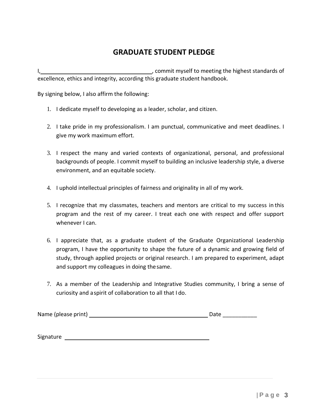#### **GRADUATE STUDENT PLEDGE**

<span id="page-3-0"></span>I, , commit myself to meeting the highest standards of excellence, ethics and integrity, according this graduate student handbook.

By signing below, I also affirm the following:

- 1. I dedicate myself to developing as a leader, scholar, and citizen.
- 2. I take pride in my professionalism. I am punctual, communicative and meet deadlines. I give my work maximum effort.
- 3. I respect the many and varied contexts of organizational, personal, and professional backgrounds of people. I commit myself to building an inclusive leadership style, a diverse environment, and an equitable society.
- 4. I uphold intellectual principles of fairness and originality in all of my work.
- 5. I recognize that my classmates, teachers and mentors are critical to my success in this program and the rest of my career. I treat each one with respect and offer support whenever I can.
- 6. I appreciate that, as a graduate student of the Graduate Organizational Leadership program, I have the opportunity to shape the future of a dynamic and growing field of study, through applied projects or original research. I am prepared to experiment, adapt and support my colleagues in doing thesame.
- 7. As a member of the Leadership and Integrative Studies community, I bring a sense of curiosity and aspirit of collaboration to all that I do.

|  | Name (please print) | Date |  |
|--|---------------------|------|--|
|--|---------------------|------|--|

Signature Signature Signature and Signature and Signature and Signature and Signature and Signature and Signature and Signature and Signature and Signature and Signature and Signature and Signature and Signature and Signat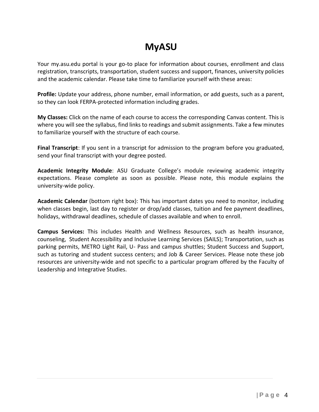### **MyASU**

Your my.asu.edu portal is your go-to place for information about courses, enrollment and class registration, transcripts, transportation, student success and support, finances, university policies and the academic calendar. Please take time to familiarize yourself with these areas:

**Profile:** Update your address, phone number, email information, or add guests, such as a parent, so they can look FERPA-protected information including grades.

**My Classes:** Click on the name of each course to access the corresponding Canvas content. This is where you will see the syllabus, find links to readings and submit assignments. Take a few minutes to familiarize yourself with the structure of each course.

**Final Transcript**: If you sent in a transcript for admission to the program before you graduated, send your final transcript with your degree posted.

**Academic Integrity Module**: ASU Graduate College's module reviewing academic integrity expectations. Please complete as soon as possible. Please note, this module explains the university-wide policy.

**Academic Calendar** (bottom right box): This has important dates you need to monitor, including when classes begin, last day to register or drop/add classes, tuition and fee payment deadlines, holidays, withdrawal deadlines, schedule of classes available and when to enroll.

**Campus Services:** This includes Health and Wellness Resources, such as health insurance, counseling, Student Accessibility and Inclusive Learning Services (SAILS); Transportation, such as parking permits, METRO Light Rail, U- Pass and campus shuttles; Student Success and Support, such as tutoring and student success centers; and Job & Career Services. Please note these job resources are university-wide and not specific to a particular program offered by the Faculty of Leadership and Integrative Studies.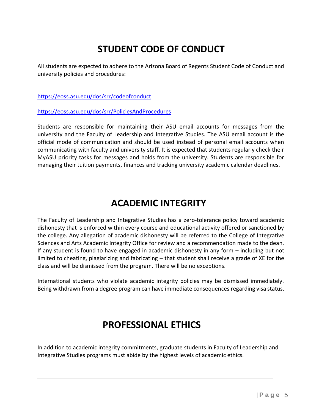### <span id="page-5-0"></span>**STUDENT CODE OF CONDUCT**

All students are expected to adhere to the Arizona Board of Regents Student Code of Conduct and university policies and procedures:

<https://eoss.asu.edu/dos/srr/codeofconduct>

<https://eoss.asu.edu/dos/srr/PoliciesAndProcedures>

Students are responsible for maintaining their ASU email accounts for messages from the university and the Faculty of Leadership and Integrative Studies. The ASU email account is the official mode of communication and should be used instead of personal email accounts when communicating with faculty and university staff. It is expected that students regularly check their MyASU priority tasks for messages and holds from the university. Students are responsible for managing their tuition payments, finances and tracking university academic calendar deadlines.

### **ACADEMIC INTEGRITY**

<span id="page-5-1"></span>The Faculty of Leadership and Integrative Studies has a zero-tolerance policy toward academic dishonesty that is enforced within every course and educational activity offered or sanctioned by the college. Any allegation of academic dishonesty will be referred to the College of Integrative Sciences and Arts Academic Integrity Office for review and a recommendation made to the dean. If any student is found to have engaged in academic dishonesty in any form – including but not limited to cheating, plagiarizing and fabricating – that student shall receive a grade of XE for the class and will be dismissed from the program. There will be no exceptions.

International students who violate academic integrity policies may be dismissed immediately. Being withdrawn from a degree program can have immediate consequences regarding visa status.

### <span id="page-5-2"></span>**PROFESSIONAL ETHICS**

In addition to academic integrity commitments, graduate students in Faculty of Leadership and Integrative Studies programs must abide by the highest levels of academic ethics.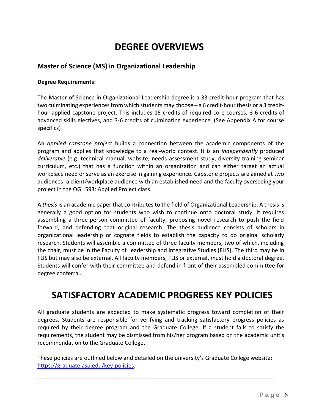### **DEGREE OVERVIEWS**

#### <span id="page-6-0"></span>**Master of Science (MS) in Organizational Leadership**

#### **Degree Requirements:**

The Master of Science in Organizational Leadership degree is a 33 credit-hour program that has two culminating experiences from which students may choose  $-$  a 6 credit-hour thesis or a 3 credithour applied capstone project. This includes 15 credits of required core courses, 3-6 credits of advanced skills electives, and 3-6 credits of culminating experience. (See Appendix A for course specifics)

An *applied capstone project* builds a connection between the academic components of the program and applies that knowledge to a real-world context. It is an *independently* produced *deliverable* (e.g. technical manual, website, needs assessment study, diversity training seminar curriculum, etc.) that has a function within an organization and can either target an actual workplace need or serve as an exercise in gaining experience. Capstone projects are aimed at two audiences: a client/workplace audience with an established need and the faculty overseeing your project in the OGL 593: Applied Project class.

A *thesis* is an academic paper that contributes to the field of Organizational Leadership. A thesis is generally a good option for students who wish to continue onto doctoral study. It requires assembling a three-person committee of faculty, proposing novel research to push the field forward, and defending that original research. The thesis audience consists of scholars in organizational leadership or cognate fields to establish the capacity to do original scholarly research. Students will assemble a committee of three faculty members, two of which, including the chair, must be in the Faculty of Leadership and Integrative Studies (FLIS). The third may be in FLIS but may also be external. All faculty members, FLIS or external, must hold a doctoral degree. Students will confer with their committee and defend in front of their assembled committee for degree conferral.

### <span id="page-6-1"></span>**SATISFACTORY ACADEMIC PROGRESS KEY POLICIES**

All graduate students are expected to make systematic progress toward completion of their degrees. Students are responsible for verifying and tracking satisfactory progress policies as required by their degree program and the Graduate College. If a student fails to satisfy the requirements, the student may be dismissed from his/her program based on the academic unit's recommendation to the Graduate College.

These policies are outlined below and detailed on the university's Graduate College website: [https://graduate.asu.edu/key-policies.](https://graduate.asu.edu/key-policies)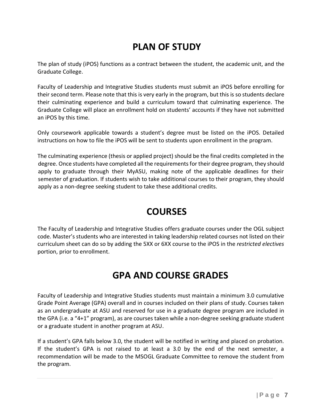### **PLAN OF STUDY**

<span id="page-7-0"></span>The plan of study (iPOS) functions as a contract between the student, the academic unit, and the Graduate College.

Faculty of Leadership and Integrative Studies students must submit an iPOS before enrolling for their second term. Please note that this is very early in the program, but this is so students declare their culminating experience and build a curriculum toward that culminating experience. The Graduate College will place an enrollment hold on students' accounts if they have not submitted an iPOS by this time.

Only coursework applicable towards a student's degree must be listed on the iPOS. Detailed instructions on how to file the iPOS will be sent to students upon enrollment in the program.

The culminating experience (thesis or applied project) should be the final credits completed in the degree. Once students have completed all the requirements for their degree program, they should apply to graduate through their MyASU, making note of the applicable deadlines for their semester of graduation. If students wish to take additional courses to their program, they should apply as a non-degree seeking student to take these additional credits.

### **COURSES**

The Faculty of Leadership and Integrative Studies offers graduate courses under the OGL subject code. Master's students who are interested in taking leadership related courses not listed on their curriculum sheet can do so by adding the 5XX or 6XX course to the iPOS in the *restricted electives* portion, prior to enrollment.

### **GPA AND COURSE GRADES**

<span id="page-7-1"></span>Faculty of Leadership and Integrative Studies students must maintain a minimum 3.0 cumulative Grade Point Average (GPA) overall and in courses included on their plans of study. Courses taken as an undergraduate at ASU and reserved for use in a graduate degree program are included in the GPA (i.e. a "4+1" program), as are courses taken while a non-degree seeking graduate student or a graduate student in another program at ASU.

If a student's GPA falls below 3.0, the student will be notified in writing and placed on probation. If the student's GPA is not raised to at least a 3.0 by the end of the next semester, a recommendation will be made to the MSOGL Graduate Committee to remove the student from the program.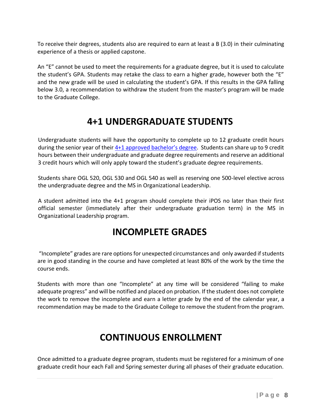To receive their degrees, students also are required to earn at least a B (3.0) in their culminating experience of a thesis or applied capstone.

An "E" cannot be used to meet the requirements for a graduate degree, but it is used to calculate the student's GPA. Students may retake the class to earn a higher grade, however both the "E" and the new grade will be used in calculating the student's GPA. If this results in the GPA falling below 3.0, a recommendation to withdraw the student from the master's program will be made to the Graduate College.

### **4+1 UNDERGRADUATE STUDENTS**

Undergraduate students will have the opportunity to complete up to 12 graduate credit hours during the senior year of their 4+1 approved b[achelor's degree](https://cisa.asu.edu/4plus1). Students can share up to 9 credit hours between their undergraduate and graduate degree requirements and reserve an additional 3 credit hours which will only apply toward the student's graduate degree requirements.

Students share OGL 520, OGL 530 and OGL 540 as well as reserving one 500-level elective across the undergraduate degree and the MS in Organizational Leadership.

<span id="page-8-0"></span>A student admitted into the 4+1 program should complete their iPOS no later than their first official semester (immediately after their undergraduate graduation term) in the MS in Organizational Leadership program.

### **INCOMPLETE GRADES**

"Incomplete" grades are rare options for unexpected circumstances and only awarded if students are in good standing in the course and have completed at least 80% of the work by the time the course ends.

Students with more than one "Incomplete" at any time will be considered "failing to make adequate progress" and will be notified and placed on probation. If the student does not complete the work to remove the incomplete and earn a letter grade by the end of the calendar year, a recommendation may be made to the Graduate College to remove the student from the program.

### **CONTINUOUS ENROLLMENT**

<span id="page-8-1"></span>Once admitted to a graduate degree program, students must be registered for a minimum of one graduate credit hour each Fall and Spring semester during all phases of their graduate education.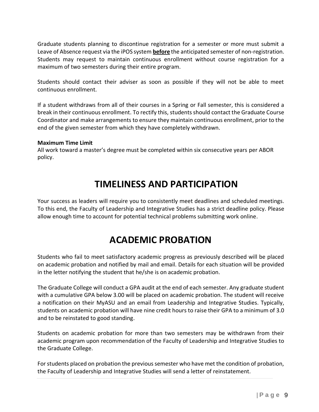Graduate students planning to discontinue registration for a semester or more must submit a Leave of Absence request via the iPOS system **before** the anticipated semester of non-registration. Students may request to maintain continuous enrollment without course registration for a maximum of two semesters during their entire program.

Students should contact their adviser as soon as possible if they will not be able to meet continuous enrollment.

If a student withdraws from all of their courses in a Spring or Fall semester, this is considered a break in their continuous enrollment. To rectify this, students should contact the Graduate Course Coordinator and make arrangements to ensure they maintain continuous enrollment, prior to the end of the given semester from which they have completely withdrawn.

#### **Maximum Time Limit**

All work toward a master's degree must be completed within six consecutive years per ABOR policy.

#### **TIMELINESS AND PARTICIPATION**

<span id="page-9-0"></span>Your success as leaders will require you to consistently meet deadlines and scheduled meetings. To this end, the Faculty of Leadership and Integrative Studies has a strict deadline policy. Please allow enough time to account for potential technical problems submitting work online.

### **ACADEMIC PROBATION**

<span id="page-9-1"></span>Students who fail to meet satisfactory academic progress as previously described will be placed on academic probation and notified by mail and email. Details for each situation will be provided in the letter notifying the student that he/she is on academic probation.

The Graduate College will conduct a GPA audit at the end of each semester. Any graduate student with a cumulative GPA below 3.00 will be placed on academic probation. The student will receive a notification on their MyASU and an email from Leadership and Integrative Studies. Typically, students on academic probation will have nine credit hours to raise their GPA to a minimum of 3.0 and to be reinstated to good standing.

Students on academic probation for more than two semesters may be withdrawn from their academic program upon recommendation of the Faculty of Leadership and Integrative Studies to the Graduate College.

For students placed on probation the previous semester who have met the condition of probation, the Faculty of Leadership and Integrative Studies will send a letter of reinstatement.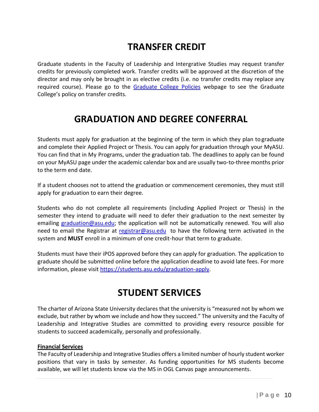### **TRANSFER CREDIT**

<span id="page-10-0"></span>Graduate students in the Faculty of Leadership and Intergrative Studies may request transfer credits for previously completed work. Transfer credits will be approved at the discretion of the director and may only be brought in as elective credits (i.e. no transfer credits may replace any required course). Please go to the [Graduate College Policies](https://graduate.asu.edu/current-students/policies-forms-and-deadlines/policy-manuals) webpage to see the Graduate College's policy on transfer credits.

### **GRADUATION AND DEGREE CONFERRAL**

<span id="page-10-1"></span>Students must apply for graduation at the beginning of the term in which they plan to graduate and complete their Applied Project or Thesis. You can apply for graduation through your MyASU. You can find that in My Programs, under the graduation tab. The deadlines to apply can be found on your MyASU page under the academic calendar box and are usually two-to-three months prior to the term end date.

If a student chooses not to attend the graduation or commencement ceremonies, they must still apply for graduation to earn their degree.

Students who do not complete all requirements (including Applied Project or Thesis) in the semester they intend to graduate will need to defer their graduation to the next semester by emailing [graduation@asu.edu;](mailto:graduation@asu.edu) the application will not be automatically renewed. You will also need to email the Registrar at [registrar@asu.edu](mailto:registrar@asu.edu) to have the following term activated in the system and **MUST** enroll in a minimum of one credit-hour that term to graduate.

Students must have their iPOS approved before they can apply for graduation. The application to graduate should be submitted online before the application deadline to avoid late fees. For more information, please visit [https://students.asu.edu/graduation-apply.](https://students.asu.edu/graduation-apply)

#### **STUDENT SERVICES**

<span id="page-10-2"></span>The charter of Arizona State University declares that the university is "measured not by whom we exclude, but rather by whom we include and how they succeed." The university and the Faculty of Leadership and Integrative Studies are committed to providing every resource possible for students to succeed academically, personally and professionally.

#### **Financial Services**

The Faculty of Leadership and Integrative Studies offers a limited number of hourly student worker positions that vary in tasks by semester. As funding opportunities for MS students become available, we will let students know via the MS in OGL Canvas page announcements.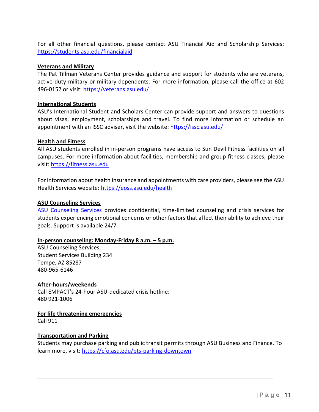For all other financial questions, please contact ASU Financial Aid and Scholarship Services: <https://students.asu.edu/financialaid>

#### **Veterans and Military**

The Pat Tillman Veterans Center provides guidance and support for students who are veterans, active-duty military or military dependents. For more information, please call the office at 602 496-0152 or visit:<https://veterans.asu.edu/>

#### **International Students**

ASU's International Student and Scholars Center can provide support and answers to questions about visas, employment, scholarships and travel. To find more information or schedule an appointment with an ISSC adviser, visit the website:<https://issc.asu.edu/>

#### **Health and Fitness**

All ASU students enrolled in in-person programs have access to Sun Devil Fitness facilities on all campuses. For more information about facilities, membership and group fitness classes, please visit: [https://fitness.asu.edu](https://fitness.asu.edu/)

For information about health insurance and appointments with care providers, please see the ASU Health Services website:<https://eoss.asu.edu/health>

#### **ASU Counseling Services**

[ASU Counseling Services](https://eoss.asu.edu/counseling) provides confidential, time-limited counseling and crisis services for students experiencing emotional concerns or other factors that affect their ability to achieve their goals. Support is available 24/7.

#### **In-person counseling: Monday-Friday 8 a.m. – 5 p.m.**

ASU Counseling Services, Student Services Building 234 Tempe, AZ 85287 480-965-6146

**After-hours/weekends** Call EMPACT's 24-hour ASU-dedicated crisis hotline: 480 921-1006

**For life threatening emergencies**

Call 911

#### **Transportation and Parking**

Students may purchase parking and public transit permits through ASU Business and Finance. To learn more, visit:<https://cfo.asu.edu/pts-parking-downtown>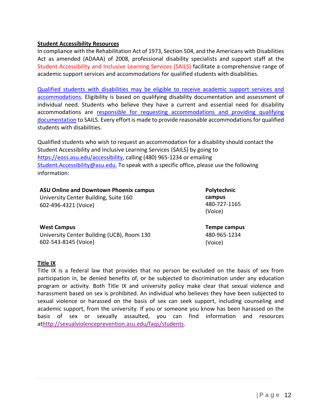#### **Student Accessibility Resources**

In compliance with the Rehabilitation Act of 1973, Section 504, and the Americans with Disabilities Act as amended (ADAAA) of 2008, professional disability specialists and support staff at the Student Accessibility and Inclusive Learning Services (SAILS) facilitate a comprehensive range of academic support services and accommodations for qualified students with disabilities.

[Qualified students with disabilities may be eligible to receive academic support services and](https://urldefense.proofpoint.com/v2/url?u=http-3A__www.asu.edu_aad_manuals_ssm_ssm701-2D01.html&d=DwMFaQ&c=l45AxH-kUV29SRQusp9vYR0n1GycN4_2jInuKy6zbqQ&r=xFYH9tnc273izpSkSYYR3xCnEYBdFhIqRS2EYvGD1xY&m=UbOzXYx4m-kDdG-2w-d6vRQNljTBCu7m97-yDldsc7w&s=xlPdGTmR1V_vdi2NCq-IdvPQPhSi_ltWDlOyODfvTA8&e) [accommodations. E](https://urldefense.proofpoint.com/v2/url?u=http-3A__www.asu.edu_aad_manuals_ssm_ssm701-2D01.html&d=DwMFaQ&c=l45AxH-kUV29SRQusp9vYR0n1GycN4_2jInuKy6zbqQ&r=xFYH9tnc273izpSkSYYR3xCnEYBdFhIqRS2EYvGD1xY&m=UbOzXYx4m-kDdG-2w-d6vRQNljTBCu7m97-yDldsc7w&s=xlPdGTmR1V_vdi2NCq-IdvPQPhSi_ltWDlOyODfvTA8&e)ligibility is based on qualifying disability documentation and assessment of individual need. Students who believe they have a current and essential need for disability accommodations are [responsible for requesting accommodations and providing qualifying](https://urldefense.proofpoint.com/v2/url?u=http-3A__www.asu.edu_aad_manuals_ssm_ssm701-2D02.html&d=DwMFaQ&c=l45AxH-kUV29SRQusp9vYR0n1GycN4_2jInuKy6zbqQ&r=xFYH9tnc273izpSkSYYR3xCnEYBdFhIqRS2EYvGD1xY&m=UbOzXYx4m-kDdG-2w-d6vRQNljTBCu7m97-yDldsc7w&s=609TSJrSpde2557zBV9k31lW7Vo2fQFLmqVqjsr2rUk&e) [documentation](https://urldefense.proofpoint.com/v2/url?u=http-3A__www.asu.edu_aad_manuals_ssm_ssm701-2D02.html&d=DwMFaQ&c=l45AxH-kUV29SRQusp9vYR0n1GycN4_2jInuKy6zbqQ&r=xFYH9tnc273izpSkSYYR3xCnEYBdFhIqRS2EYvGD1xY&m=UbOzXYx4m-kDdG-2w-d6vRQNljTBCu7m97-yDldsc7w&s=609TSJrSpde2557zBV9k31lW7Vo2fQFLmqVqjsr2rUk&e) to SAILS. Every effort is made to provide reasonable accommodations for qualified students with disabilities.

Qualified students who wish to request an accommodation for a disability should contact the Student Accessibility and Inclusive Learning Services (SAILS) by going to [https://eoss.asu.edu/accessibility, c](https://urldefense.proofpoint.com/v2/url?u=https-3A__eoss.asu.edu_drc&d=DwMFaQ&c=l45AxH-kUV29SRQusp9vYR0n1GycN4_2jInuKy6zbqQ&r=xFYH9tnc273izpSkSYYR3xCnEYBdFhIqRS2EYvGD1xY&m=UbOzXYx4m-kDdG-2w-d6vRQNljTBCu7m97-yDldsc7w&s=Th_0fRH-lfXw88BDUbDw-_7wK664gvxDYB3WN1QhT5I&e)alling (480) 965-1234 or emailing [Student.Accessibility@asu.edu.](mailto:DRC@asu.edu%20[verify%20email].) To speak with a specific office, please use the following information:

| <b>ASU Online and Downtown Phoenix campus</b> | Polytech            |
|-----------------------------------------------|---------------------|
| University Center Building, Suite 160         | campus              |
| 602-496-4321 (Voice)                          | 480-727-<br>(Voice) |
|                                               |                     |

#### **West Campus**

University Center Building (UCB), Room 130 602-543-8145 (Voice)

**Poly** 1165

**Tempe campus** 480-965-1234 (Voice)

#### **Title IX**

Title IX is a federal law that provides that no person be excluded on the basis of sex from participation in, be denied benefits of, or be subjected to discrimination under any education program or activity. Both Title IX and university policy make clear that sexual violence and harassment based on sex is prohibited. An individual who believes they have been subjected to sexual violence or harassed on the basis of sex can seek support, including counseling and academic support, from the university. If you or someone you know has been harassed on the basis of sex or sexually assaulted, you can find information and resources a[thttp://sexualviolenceprevention.asu.edu/faqs/students.](http://sexualviolenceprevention.asu.edu/faqs/students)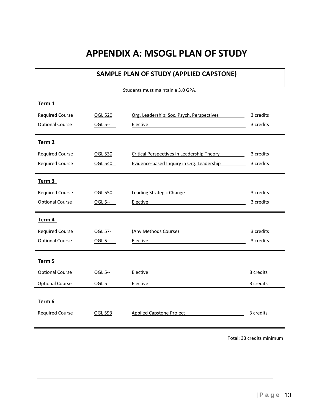### **APPENDIX A: MSOGL PLAN OF STUDY**

#### **SAMPLE PLAN OF STUDY (APPLIED CAPSTONE)**

Students must maintain a 3.0 GPA.

<span id="page-13-0"></span>

| Term 1                 |                  |                                                                                                                                                                                                                                                  |           |
|------------------------|------------------|--------------------------------------------------------------------------------------------------------------------------------------------------------------------------------------------------------------------------------------------------|-----------|
| <b>Required Course</b> | <b>OGL 520</b>   | Org. Leadership: Soc. Psych. Perspectives                                                                                                                                                                                                        | 3 credits |
| <b>Optional Course</b> | OGL 5--          | Elective<br><u>and the company of the company of the company of the company of the company of the company of the company of the company of the company of the company of the company of the company of the company of the company of the com</u> | 3 credits |
|                        |                  |                                                                                                                                                                                                                                                  |           |
| Term 2                 |                  |                                                                                                                                                                                                                                                  |           |
| <b>Required Course</b> | OGL 530          | Critical Perspectives in Leadership Theory                                                                                                                                                                                                       | 3 credits |
| <b>Required Course</b> | <b>OGL 540</b>   | Evidence-based Inquiry in Org. Leadership                                                                                                                                                                                                        | 3 credits |
|                        |                  |                                                                                                                                                                                                                                                  |           |
| Term 3                 |                  |                                                                                                                                                                                                                                                  |           |
| <b>Required Course</b> | <b>OGL 550</b>   | Leading Strategic Change                                                                                                                                                                                                                         | 3 credits |
| <b>Optional Course</b> | OGL 5--          | Elective                                                                                                                                                                                                                                         | 3 credits |
|                        |                  |                                                                                                                                                                                                                                                  |           |
|                        |                  |                                                                                                                                                                                                                                                  |           |
| Term 4                 |                  |                                                                                                                                                                                                                                                  |           |
| <b>Required Course</b> | OGL 57-          | (Any Methods Course)                                                                                                                                                                                                                             | 3 credits |
| <b>Optional Course</b> | OGL 5--          | Elective                                                                                                                                                                                                                                         | 3 credits |
|                        |                  |                                                                                                                                                                                                                                                  |           |
| Term 5                 |                  |                                                                                                                                                                                                                                                  |           |
| <b>Optional Course</b> | OGL 5--          | Elective                                                                                                                                                                                                                                         | 3 credits |
| <b>Optional Course</b> | OGL <sub>5</sub> | Elective                                                                                                                                                                                                                                         | 3 credits |
|                        |                  |                                                                                                                                                                                                                                                  |           |
| Term 6                 |                  |                                                                                                                                                                                                                                                  |           |
| <b>Required Course</b> | OGL 593          | <b>Applied Capstone Project</b>                                                                                                                                                                                                                  | 3 credits |

Total: 33 credits minimum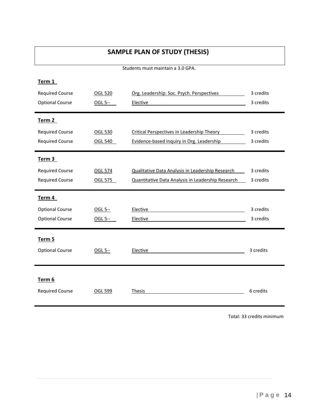#### **SAMPLE PLAN OF STUDY (THESIS)**

Students must maintain a 3.0 GPA.

| Term 1                 |                |                                                   |           |
|------------------------|----------------|---------------------------------------------------|-----------|
| <b>Required Course</b> | <b>OGL 520</b> | Org. Leadership: Soc. Psych. Perspectives         | 3 credits |
| <b>Optional Course</b> | OGL 5--        | Elective                                          | 3 credits |
|                        |                |                                                   |           |
| Term 2                 |                |                                                   |           |
| <b>Required Course</b> | <b>OGL 530</b> | Critical Perspectives in Leadership Theory        | 3 credits |
| <b>Required Course</b> | <b>OGL 540</b> | Evidence-based Inquiry in Org. Leadership         | 3 credits |
| Term 3                 |                |                                                   |           |
| <b>Required Course</b> | <b>OGL 574</b> | Qualitative Data Analysis in Leadership Research  | 3 credits |
| <b>Required Course</b> | OGL 575        | Quantitative Data Analysis in Leadership Research | 3 credits |
|                        |                |                                                   |           |
| Term 4                 |                |                                                   |           |
| <b>Optional Course</b> | OGL 5--        | Elective                                          | 3 credits |
| <b>Optional Course</b> | OGL 5--        | Elective                                          | 3 credits |
|                        |                |                                                   |           |
| Term 5                 |                |                                                   |           |
| <b>Optional Course</b> | OGL 5--        | Elective                                          | 3 credits |
|                        |                |                                                   |           |
|                        |                |                                                   |           |
| Term 6                 |                |                                                   |           |
| <b>Required Course</b> | OGL 599        | Thesis                                            | 6 credits |
|                        |                |                                                   |           |

Total: 33 credits minimum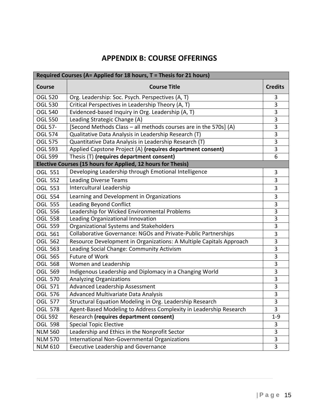#### **APPENDIX B: COURSE OFFERINGS**

<span id="page-15-0"></span>

| Required Courses (A= Applied for 18 hours, T = Thesis for 21 hours) |                                                                     |                |  |
|---------------------------------------------------------------------|---------------------------------------------------------------------|----------------|--|
| <b>Course</b>                                                       | <b>Course Title</b>                                                 | <b>Credits</b> |  |
| <b>OGL 520</b>                                                      | Org. Leadership: Soc. Psych. Perspectives (A, T)                    | 3              |  |
| <b>OGL 530</b>                                                      | Critical Perspectives in Leadership Theory (A, T)                   | 3              |  |
| <b>OGL 540</b>                                                      | Evidenced-based Inquiry in Org. Leadership (A, T)                   | 3              |  |
| <b>OGL 550</b>                                                      | Leading Strategic Change (A)                                        | 3              |  |
| OGL 57-                                                             | [Second Methods Class - all methods courses are in the 570s] (A)    | 3              |  |
| <b>OGL 574</b>                                                      | Qualitative Data Analysis in Leadership Research (T)                | 3              |  |
| <b>OGL 575</b>                                                      | Quantitative Data Analysis in Leadership Research (T)               | 3              |  |
| <b>OGL 593</b>                                                      | Applied Capstone Project (A) (requires department consent)          | 3              |  |
| <b>OGL 599</b>                                                      | Thesis (T) (requires department consent)                            | 6              |  |
|                                                                     | Elective Courses (15 hours for Applied, 12 hours for Thesis)        |                |  |
| <b>OGL 551</b>                                                      | Developing Leadership through Emotional Intelligence                | 3              |  |
| <b>OGL 552</b>                                                      | <b>Leading Diverse Teams</b>                                        | 3              |  |
| <b>OGL 553</b>                                                      | <b>Intercultural Leadership</b>                                     | 3              |  |
| <b>OGL 554</b>                                                      | Learning and Development in Organizations                           | 3              |  |
| <b>OGL 555</b>                                                      | <b>Leading Beyond Conflict</b>                                      | 3              |  |
| <b>OGL 556</b>                                                      | Leadership for Wicked Environmental Problems                        | $\overline{3}$ |  |
| <b>OGL 558</b>                                                      | Leading Organizational Innovation                                   | 3              |  |
| OGL 559                                                             | Organizational Systems and Stakeholders                             | 3              |  |
| OGL 561                                                             | Collaborative Governance: NGOs and Private-Public Partnerships      | 3              |  |
| OGL 562                                                             | Resource Development in Organizations: A Multiple Capitals Approach | 3              |  |
| OGL 563                                                             | Leading Social Change: Community Activism                           | 3              |  |
| OGL 565                                                             | <b>Future of Work</b>                                               | 3              |  |
| OGL 568                                                             | Women and Leadership                                                | 3              |  |
| OGL 569                                                             | Indigenous Leadership and Diplomacy in a Changing World             | 3              |  |
| <b>OGL 570</b>                                                      | <b>Analyzing Organizations</b>                                      | 3              |  |
| <b>OGL 571</b>                                                      | Advanced Leadership Assessment                                      | 3              |  |
| OGL 576                                                             | Advanced Multivariate Data Analysis                                 | 3              |  |
| OGL 577                                                             | Structural Equation Modeling in Org. Leadership Research            | 3              |  |
| OGL 578                                                             | Agent-Based Modeling to Address Complexity in Leadership Research   | 3              |  |
| <b>OGL 592</b>                                                      | Research (requires department consent)                              | $1 - 9$        |  |
| <b>OGL 598</b>                                                      | <b>Special Topic Elective</b>                                       | 3              |  |
| <b>NLM 560</b>                                                      | Leadership and Ethics in the Nonprofit Sector                       | 3              |  |
| <b>NLM 570</b>                                                      | International Non-Governmental Organizations                        | 3              |  |
| <b>NLM 610</b>                                                      | <b>Executive Leadership and Governance</b>                          | 3              |  |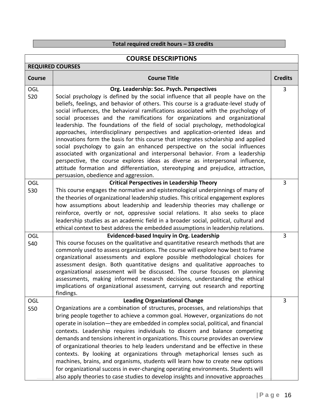#### **Total required credit hours – 33 credits**

| <b>COURSE DESCRIPTIONS</b> |                                                                                                                                                                                                                                                                                                                                                                                                                                                                                                                                                                                                                                                                                                                                                                                                                                                                                                                                                                                                                             |                |  |
|----------------------------|-----------------------------------------------------------------------------------------------------------------------------------------------------------------------------------------------------------------------------------------------------------------------------------------------------------------------------------------------------------------------------------------------------------------------------------------------------------------------------------------------------------------------------------------------------------------------------------------------------------------------------------------------------------------------------------------------------------------------------------------------------------------------------------------------------------------------------------------------------------------------------------------------------------------------------------------------------------------------------------------------------------------------------|----------------|--|
|                            | <b>REQUIRED COURSES</b>                                                                                                                                                                                                                                                                                                                                                                                                                                                                                                                                                                                                                                                                                                                                                                                                                                                                                                                                                                                                     |                |  |
| <b>Course</b>              | <b>Course Title</b>                                                                                                                                                                                                                                                                                                                                                                                                                                                                                                                                                                                                                                                                                                                                                                                                                                                                                                                                                                                                         | <b>Credits</b> |  |
| <b>OGL</b><br>520          | Org. Leadership: Soc. Psych. Perspectives<br>Social psychology is defined by the social influence that all people have on the<br>beliefs, feelings, and behavior of others. This course is a graduate-level study of<br>social influences, the behavioral ramifications associated with the psychology of<br>social processes and the ramifications for organizations and organizational<br>leadership. The foundations of the field of social psychology, methodological<br>approaches, interdisciplinary perspectives and application-oriented ideas and<br>innovations form the basis for this course that integrates scholarship and applied<br>social psychology to gain an enhanced perspective on the social influences<br>associated with organizational and interpersonal behavior. From a leadership<br>perspective, the course explores ideas as diverse as interpersonal influence,<br>attitude formation and differentiation, stereotyping and prejudice, attraction,<br>persuasion, obedience and aggression. | 3              |  |
| <b>OGL</b><br>530          | <b>Critical Perspectives in Leadership Theory</b><br>This course engages the normative and epistemological underpinnings of many of<br>the theories of organizational leadership studies. This critical engagement explores<br>how assumptions about leadership and leadership theories may challenge or<br>reinforce, overtly or not, oppressive social relations. It also seeks to place<br>leadership studies as an academic field in a broader social, political, cultural and<br>ethical context to best address the embedded assumptions in leadership relations.                                                                                                                                                                                                                                                                                                                                                                                                                                                     | $\overline{3}$ |  |
| OGL<br>540                 | <b>Evidenced-based Inquiry in Org. Leadership</b><br>This course focuses on the qualitative and quantitative research methods that are<br>commonly used to assess organizations. The course will explore how best to frame<br>organizational assessments and explore possible methodological choices for<br>assessment design. Both quantitative designs and qualitative approaches to<br>organizational assessment will be discussed. The course focuses on planning<br>assessments, making informed research decisions, understanding the ethical<br>implications of organizational assessment, carrying out research and reporting<br>findings.                                                                                                                                                                                                                                                                                                                                                                          | $\overline{3}$ |  |
| OGL<br>550                 | <b>Leading Organizational Change</b><br>Organizations are a combination of structures, processes, and relationships that<br>bring people together to achieve a common goal. However, organizations do not<br>operate in isolation—they are embedded in complex social, political, and financial<br>contexts. Leadership requires individuals to discern and balance competing<br>demands and tensions inherent in organizations. This course provides an overview<br>of organizational theories to help leaders understand and be effective in these<br>contexts. By looking at organizations through metaphorical lenses such as<br>machines, brains, and organisms, students will learn how to create new options<br>for organizational success in ever-changing operating environments. Students will<br>also apply theories to case studies to develop insights and innovative approaches                                                                                                                               | $\overline{3}$ |  |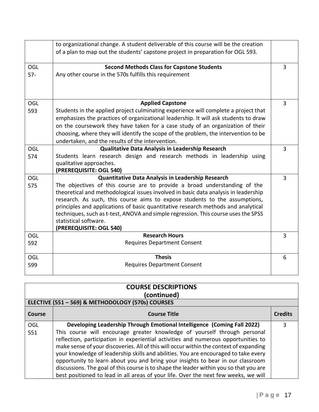|            | to organizational change. A student deliverable of this course will be the creation                                         |                |
|------------|-----------------------------------------------------------------------------------------------------------------------------|----------------|
|            | of a plan to map out the students' capstone project in preparation for OGL 593.                                             |                |
| <b>OGL</b> | <b>Second Methods Class for Capstone Students</b>                                                                           | $\overline{3}$ |
| $57 -$     | Any other course in the 570s fulfills this requirement                                                                      |                |
|            |                                                                                                                             |                |
|            |                                                                                                                             |                |
| <b>OGL</b> | <b>Applied Capstone</b>                                                                                                     | $\overline{3}$ |
| 593        | Students in the applied project culminating experience will complete a project that                                         |                |
|            | emphasizes the practices of organizational leadership. It will ask students to draw                                         |                |
|            | on the coursework they have taken for a case study of an organization of their                                              |                |
|            | choosing, where they will identify the scope of the problem, the intervention to be                                         |                |
|            | undertaken, and the results of the intervention.                                                                            |                |
| <b>OGL</b> | Qualitative Data Analysis in Leadership Research<br>Students learn research design and research methods in leadership using | 3              |
| 574        | qualitative approaches.                                                                                                     |                |
|            | (PREREQUISITE: OGL 540)                                                                                                     |                |
| OGL        | Quantitative Data Analysis in Leadership Research                                                                           | $\overline{3}$ |
| 575        | The objectives of this course are to provide a broad understanding of the                                                   |                |
|            | theoretical and methodological issues involved in basic data analysis in leadership                                         |                |
|            | research. As such, this course aims to expose students to the assumptions,                                                  |                |
|            | principles and applications of basic quantitative research methods and analytical                                           |                |
|            | techniques, such as t-test, ANOVA and simple regression. This course uses the SPSS                                          |                |
|            | statistical software.                                                                                                       |                |
|            | (PREREQUISITE: OGL 540)                                                                                                     |                |
| <b>OGL</b> | <b>Research Hours</b>                                                                                                       | 3              |
| 592        | <b>Requires Department Consent</b>                                                                                          |                |
| <b>OGL</b> | <b>Thesis</b>                                                                                                               | 6              |
| 599        | <b>Requires Department Consent</b>                                                                                          |                |

| <b>COURSE DESCRIPTIONS</b><br>(continued) |                                                                                                                                                                                                                                                                                                                                                                                                                                                                                                                               |                |  |
|-------------------------------------------|-------------------------------------------------------------------------------------------------------------------------------------------------------------------------------------------------------------------------------------------------------------------------------------------------------------------------------------------------------------------------------------------------------------------------------------------------------------------------------------------------------------------------------|----------------|--|
|                                           | ELECTIVE (551 - 569) & METHODOLOGY (570s) COURSES                                                                                                                                                                                                                                                                                                                                                                                                                                                                             |                |  |
| Course                                    | <b>Course Title</b>                                                                                                                                                                                                                                                                                                                                                                                                                                                                                                           | <b>Credits</b> |  |
| <b>OGL</b>                                | Developing Leadership Through Emotional Intelligence (Coming Fall 2022)                                                                                                                                                                                                                                                                                                                                                                                                                                                       | 3              |  |
| 551                                       | This course will encourage greater knowledge of yourself through personal<br>reflection, participation in experiential activities and numerous opportunities to<br>make sense of your discoveries. All of this will occur within the context of expanding<br>your knowledge of leadership skills and abilities. You are encouraged to take every<br>opportunity to learn about you and bring your insights to bear in our classroom<br>discussions. The goal of this course is to shape the leader within you so that you are |                |  |
|                                           | best positioned to lead in all areas of your life. Over the next few weeks, we will                                                                                                                                                                                                                                                                                                                                                                                                                                           |                |  |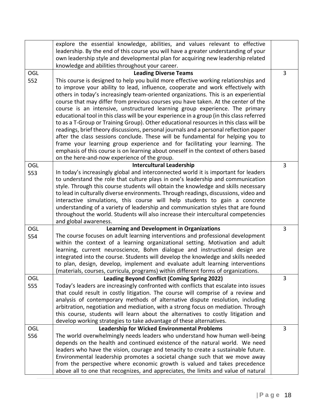|     | explore the essential knowledge, abilities, and values relevant to effective              |                |
|-----|-------------------------------------------------------------------------------------------|----------------|
|     | leadership. By the end of this course you will have a greater understanding of your       |                |
|     | own leadership style and developmental plan for acquiring new leadership related          |                |
|     | knowledge and abilities throughout your career.                                           |                |
| OGL | <b>Leading Diverse Teams</b>                                                              | 3              |
| 552 | This course is designed to help you build more effective working relationships and        |                |
|     | to improve your ability to lead, influence, cooperate and work effectively with           |                |
|     | others in today's increasingly team-oriented organizations. This is an experiential       |                |
|     | course that may differ from previous courses you have taken. At the center of the         |                |
|     | course is an intensive, unstructured learning group experience. The primary               |                |
|     | educational tool in this class will be your experience in a group (in this class referred |                |
|     | to as a T-Group or Training Group). Other educational resources in this class will be     |                |
|     | readings, brief theory discussions, personal journals and a personal reflection paper     |                |
|     | after the class sessions conclude. These will be fundamental for helping you to           |                |
|     | frame your learning group experience and for facilitating your learning. The              |                |
|     | emphasis of this course is on learning about oneself in the context of others based       |                |
|     | on the here-and-now experience of the group.                                              |                |
| OGL | <b>Intercultural Leadership</b>                                                           | 3              |
| 553 | In today's increasingly global and interconnected world it is important for leaders       |                |
|     | to understand the role that culture plays in one's leadership and communication           |                |
|     | style. Through this course students will obtain the knowledge and skills necessary        |                |
|     | to lead in culturally diverse environments. Through readings, discussions, video and      |                |
|     | interactive simulations, this course will help students to gain a concrete                |                |
|     | understanding of a variety of leadership and communication styles that are found          |                |
|     | throughout the world. Students will also increase their intercultural competencies        |                |
|     | and global awareness.                                                                     |                |
| OGL | <b>Learning and Development in Organizations</b>                                          | 3              |
| 554 | The course focuses on adult learning interventions and professional development           |                |
|     | within the context of a learning organizational setting. Motivation and adult             |                |
|     | learning, current neuroscience, Bohm dialogue and instructional design are                |                |
|     | integrated into the course. Students will develop the knowledge and skills needed         |                |
|     | to plan, design, develop, implement and evaluate adult learning interventions             |                |
|     | (materials, courses, curricula, programs) within different forms of organizations.        |                |
| OGL | <b>Leading Beyond Conflict (Coming Spring 2022)</b>                                       | 3              |
| 555 | Today's leaders are increasingly confronted with conflicts that escalate into issues      |                |
|     | that could result in costly litigation. The course will comprise of a review and          |                |
|     | analysis of contemporary methods of alternative dispute resolution, including             |                |
|     | arbitration, negotiation and mediation, with a strong focus on mediation. Through         |                |
|     | this course, students will learn about the alternatives to costly litigation and          |                |
|     | develop working strategies to take advantage of these alternatives.                       |                |
| OGL | <b>Leadership for Wicked Environmental Problems</b>                                       | $\overline{3}$ |
| 556 | The world overwhelmingly needs leaders who understand how human well-being                |                |
|     | depends on the health and continued existence of the natural world. We need               |                |
|     | leaders who have the vision, courage and tenacity to create a sustainable future.         |                |
|     | Environmental leadership promotes a societal change such that we move away                |                |
|     | from the perspective where economic growth is valued and takes precedence                 |                |
|     | above all to one that recognizes, and appreciates, the limits and value of natural        |                |
|     |                                                                                           |                |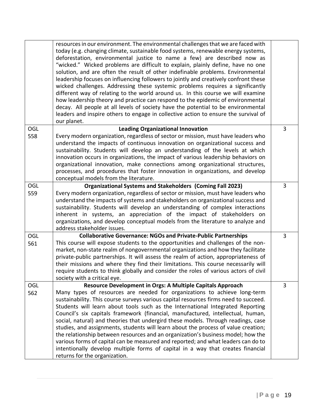|            | resources in our environment. The environmental challenges that we are faced with<br>today (e.g. changing climate, sustainable food systems, renewable energy systems,<br>deforestation, environmental justice to name a few) are described now as<br>"wicked." Wicked problems are difficult to explain, plainly define, have no one<br>solution, and are often the result of other indefinable problems. Environmental<br>leadership focuses on influencing followers to jointly and creatively confront these<br>wicked challenges. Addressing these systemic problems requires a significantly<br>different way of relating to the world around us. In this course we will examine<br>how leadership theory and practice can respond to the epidemic of environmental<br>decay. All people at all levels of society have the potential to be environmental<br>leaders and inspire others to engage in collective action to ensure the survival of<br>our planet. |                |
|------------|----------------------------------------------------------------------------------------------------------------------------------------------------------------------------------------------------------------------------------------------------------------------------------------------------------------------------------------------------------------------------------------------------------------------------------------------------------------------------------------------------------------------------------------------------------------------------------------------------------------------------------------------------------------------------------------------------------------------------------------------------------------------------------------------------------------------------------------------------------------------------------------------------------------------------------------------------------------------|----------------|
| OGL<br>558 | <b>Leading Organizational Innovation</b><br>Every modern organization, regardless of sector or mission, must have leaders who<br>understand the impacts of continuous innovation on organizational success and<br>sustainability. Students will develop an understanding of the levels at which<br>innovation occurs in organizations, the impact of various leadership behaviors on<br>organizational innovation, make connections among organizational structures,<br>processes, and procedures that foster innovation in organizations, and develop<br>conceptual models from the literature.                                                                                                                                                                                                                                                                                                                                                                     | 3              |
| OGL<br>559 | Organizational Systems and Stakeholders (Coming Fall 2023)<br>Every modern organization, regardless of sector or mission, must have leaders who<br>understand the impacts of systems and stakeholders on organizational success and<br>sustainability. Students will develop an understanding of complex interactions<br>inherent in systems, an appreciation of the impact of stakeholders on<br>organizations, and develop conceptual models from the literature to analyze and<br>address stakeholder issues.                                                                                                                                                                                                                                                                                                                                                                                                                                                     | 3              |
| OGL<br>561 | <b>Collaborative Governance: NGOs and Private-Public Partnerships</b><br>This course will expose students to the opportunities and challenges of the non-<br>market, non-state realm of nongovernmental organizations and how they facilitate<br>private-public partnerships. It will assess the realm of action, appropriateness of<br>their missions and where they find their limitations. This course necessarily will<br>require students to think globally and consider the roles of various actors of civil<br>society with a critical eye.                                                                                                                                                                                                                                                                                                                                                                                                                   | $\overline{3}$ |
| OGL<br>562 | Resource Development in Orgs: A Multiple Capitals Approach<br>Many types of resources are needed for organizations to achieve long-term<br>sustainability. This course surveys various capital resources firms need to succeed.<br>Students will learn about tools such as the International Integrated Reporting<br>Council's six capitals framework (financial, manufactured, intellectual, human,<br>social, natural) and theories that undergird these models. Through readings, case<br>studies, and assignments, students will learn about the process of value creation;<br>the relationship between resources and an organization's business model; how the<br>various forms of capital can be measured and reported; and what leaders can do to<br>intentionally develop multiple forms of capital in a way that creates financial<br>returns for the organization.                                                                                         | $\overline{3}$ |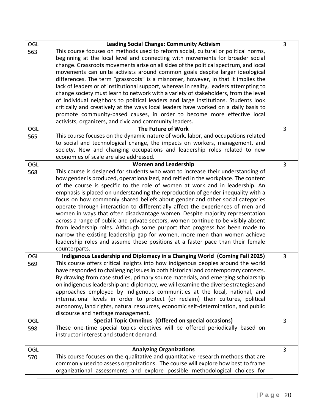| <b>OGL</b><br>563 | <b>Leading Social Change: Community Activism</b><br>This course focuses on methods used to reform social, cultural or political norms,<br>beginning at the local level and connecting with movements for broader social<br>change. Grassroots movements arise on all sides of the political spectrum, and local<br>movements can unite activists around common goals despite larger ideological<br>differences. The term "grassroots" is a misnomer, however, in that it implies the<br>lack of leaders or of institutional support, whereas in reality, leaders attempting to<br>change society must learn to network with a variety of stakeholders, from the level<br>of individual neighbors to political leaders and large institutions. Students look<br>critically and creatively at the ways local leaders have worked on a daily basis to<br>promote community-based causes, in order to become more effective local<br>activists, organizers, and civic and community leaders. | 3 |
|-------------------|------------------------------------------------------------------------------------------------------------------------------------------------------------------------------------------------------------------------------------------------------------------------------------------------------------------------------------------------------------------------------------------------------------------------------------------------------------------------------------------------------------------------------------------------------------------------------------------------------------------------------------------------------------------------------------------------------------------------------------------------------------------------------------------------------------------------------------------------------------------------------------------------------------------------------------------------------------------------------------------|---|
| OGL<br>565        | The Future of Work<br>This course focuses on the dynamic nature of work, labor, and occupations related<br>to social and technological change, the impacts on workers, management, and<br>society. New and changing occupations and leadership roles related to new<br>economies of scale are also addressed.                                                                                                                                                                                                                                                                                                                                                                                                                                                                                                                                                                                                                                                                            | 3 |
| OGL<br>568        | <b>Women and Leadership</b><br>This course is designed for students who want to increase their understanding of<br>how gender is produced, operationalized, and reified in the workplace. The content<br>of the course is specific to the role of women at work and in leadership. An<br>emphasis is placed on understanding the reproduction of gender inequality with a<br>focus on how commonly shared beliefs about gender and other social categories<br>operate through interaction to differentially affect the experiences of men and<br>women in ways that often disadvantage women. Despite majority representation<br>across a range of public and private sectors, women continue to be visibly absent<br>from leadership roles. Although some purport that progress has been made to<br>narrow the existing leadership gap for women, more men than women achieve<br>leadership roles and assume these positions at a faster pace than their female<br>counterparts.        | 3 |
| <b>OGL</b><br>569 | Indigenous Leadership and Diplomacy in a Changing World (Coming Fall 2025)<br>This course offers critical insights into how indigenous peoples around the world<br>have responded to challenging issues in both historical and contemporary contexts.<br>By drawing from case studies, primary source materials, and emerging scholarship<br>on indigenous leadership and diplomacy, we will examine the diverse strategies and<br>approaches employed by indigenous communities at the local, national, and<br>international levels in order to protect (or reclaim) their cultures, political<br>autonomy, land rights, natural resources, economic self-determination, and public<br>discourse and heritage management.                                                                                                                                                                                                                                                               | 3 |
| OGL<br>598        | Special Topic Omnibus (Offered on special occasions)<br>These one-time special topics electives will be offered periodically based on<br>instructor interest and student demand.                                                                                                                                                                                                                                                                                                                                                                                                                                                                                                                                                                                                                                                                                                                                                                                                         | 3 |
| <b>OGL</b><br>570 | <b>Analyzing Organizations</b><br>This course focuses on the qualitative and quantitative research methods that are<br>commonly used to assess organizations. The course will explore how best to frame<br>organizational assessments and explore possible methodological choices for                                                                                                                                                                                                                                                                                                                                                                                                                                                                                                                                                                                                                                                                                                    | 3 |